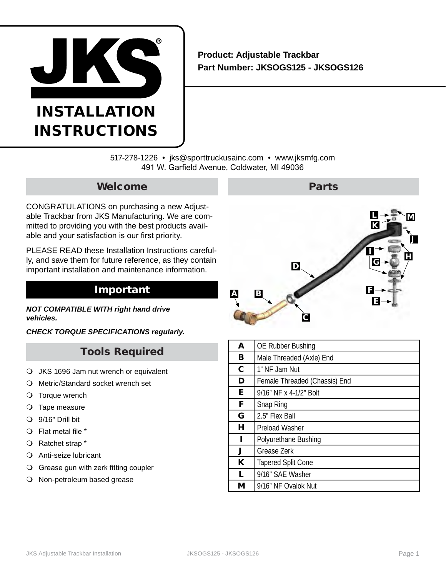

# INSTALLATION **INSTRUCTIONS**

# **Product: Adjustable Trackbar Part Number: JKSOGS125 - JKSOGS126**

517-278-1226 • jks@sporttruckusainc.com • www.jksmfg.com 491 W. Garfield Avenue, Coldwater, MI 49036

# Welcome

CONGRATULATIONS on purchasing a new Adjustable Trackbar from JKS Manufacturing. We are committed to providing you with the best products available and your satisfaction is our first priority.

PLEASE READ these Installation Instructions carefully, and save them for future reference, as they contain important installation and maintenance information.

# Important

*NOT COMPATIBLE WITH right hand drive vehicles.*

*CHECK TORQUE SPECIFICATIONS regularly.*

# Tools Required

- JKS 1696 Jam nut wrench or equivalent
- Metric/Standard socket wrench set
- O Torque wrench
- O Tape measure
- 9/16" Drill bit
- Flat metal file \*
- Ratchet strap \*
- Anti-seize lubricant
- Grease gun with zerk fitting coupler
- O Non-petroleum based grease



| A            | <b>OE Rubber Bushing</b>      |
|--------------|-------------------------------|
| B            | Male Threaded (Axle) End      |
| $\mathbf{C}$ | 1" NF Jam Nut                 |
| D            | Female Threaded (Chassis) End |
| E.           | 9/16" NF x 4-1/2" Bolt        |
| F            | Snap Ring                     |
| G            | 2.5" Flex Ball                |
| н            | <b>Preload Washer</b>         |
| п            | Polyurethane Bushing          |
| J            | Grease Zerk                   |
| K            | <b>Tapered Split Cone</b>     |
| L            | 9/16" SAE Washer              |
| М            | 9/16" NF Ovalok Nut           |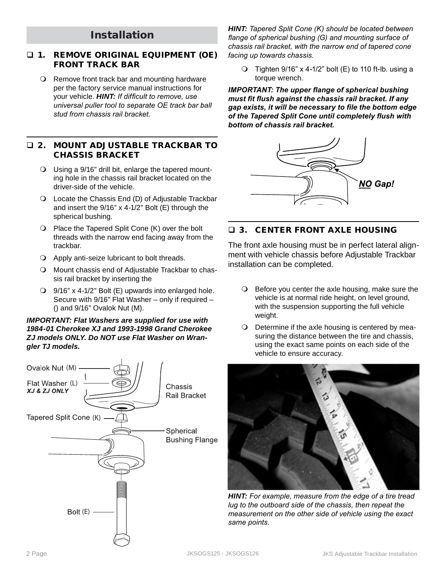# Installation

### 1. REMOVE ORIGINAL EQUIPMENT (OE) FRONT TRACK BAR

 Remove front track bar and mounting hardware per the factory service manual instructions for your vehicle. *HINT: If difficult to remove, use universal puller tool to separate OE track bar ball stud from chassis rail bracket.*

### 2. MOUNT ADJUSTABLE TRACKBAR TO CHASSIS BRACKET

- Using a 9/16" drill bit, enlarge the tapered mounting hole in the chassis rail bracket located on the driver-side of the vehicle.
- Locate the Chassis End (D) of Adjustable Trackbar and insert the 9/16" x 4-1/2" Bolt (E) through the spherical bushing.
- $\bigcirc$  Place the Tapered Split Cone (K) over the bolt threads with the narrow end facing away from the trackbar.
- Apply anti-seize lubricant to bolt threads.
- O Mount chassis end of Adjustable Trackbar to chassis rail bracket by inserting the
- 9/16" x 4-1/2" Bolt (E) upwards into enlarged hole. Secure with 9/16" Flat Washer – only if required – () and 9/16" Ovalok Nut (M).

#### *IMPORTANT: Flat Washers are supplied for use with 1984-01 Cherokee XJ and 1993-1998 Grand Cherokee ZJ models ONLY. Do NOT use Flat Washer on Wrangler TJ models.*



*HINT: Tapered Split Cone (K) should be located between flange of spherical bushing (G) and mounting surface of chassis rail bracket, with the narrow end of tapered cone facing up towards chassis.*

 $\overline{O}$  Tighten 9/16" x 4-1/2" bolt (E) to 110 ft-lb. using a torque wrench.

*IMPORTANT: The upper flange of spherical bushing must fit flush against the chassis rail bracket. If any gap exists, it will be necessary to file the bottom edge of the Tapered Split Cone until completely flush with bottom of chassis rail bracket.*



### 3. CENTER FRONT AXLE HOUSING

The front axle housing must be in perfect lateral alignment with vehicle chassis before Adjustable Trackbar installation can be completed.

- $\bigcirc$  Before you center the axle housing, make sure the vehicle is at normal ride height, on level ground, with the suspension supporting the full vehicle weight.
- O Determine if the axle housing is centered by measuring the distance between the tire and chassis, using the exact same points on each side of the vehicle to ensure accuracy.



*HINT: For example, measure from the edge of a tire tread lug to the outboard side of the chassis, then repeat the measurement on the other side of vehicle using the exact same points.*